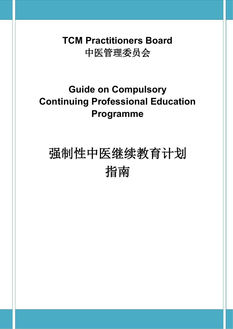**TCM Practitioners Board** 中医管理委员会

# **Guide on Compulsory Continuing Professional Education Programme**

# 强制性中医继续教育计划 指南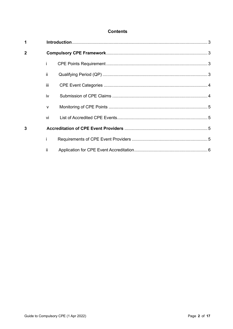#### **Contents**

| 1              |              |  |  |  |
|----------------|--------------|--|--|--|
| $\overline{2}$ |              |  |  |  |
|                |              |  |  |  |
|                | ii.          |  |  |  |
|                | iii          |  |  |  |
|                | iv           |  |  |  |
|                | $\mathsf{V}$ |  |  |  |
|                | vi           |  |  |  |
| 3              |              |  |  |  |
|                |              |  |  |  |
|                | ii.          |  |  |  |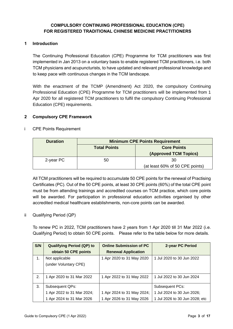#### **COMPULSORY CONTINUING PROFESSIONAL EDUCATION (CPE) FOR REGISTERED TRADITIONAL CHINESE MEDICINE PRACTITIONERS**

#### <span id="page-2-0"></span>**1 Introduction**

The Continuing Professional Education (CPE) Programme for TCM practitioners was first implemented in Jan 2013 on a voluntary basis to enable registered TCM practitioners, i.e. both TCM physicians and acupuncturists, to have updated and relevant professional knowledge and to keep pace with continuous changes in the TCM landscape.

With the enactment of the TCMP (Amendment) Act 2020, the compulsory Continuing Professional Education (CPE) Programme for TCM practitioners will be implemented from 1 Apr 2020 for all registered TCM practitioners to fulfil the compulsory Continuing Professional Education (CPE) requirements.

#### <span id="page-2-1"></span>**2 Compulsory CPE Framework**

<span id="page-2-2"></span>i CPE Points Requirement

| <b>Duration</b> | <b>Minimum CPE Points Requirement</b>     |                                 |  |
|-----------------|-------------------------------------------|---------------------------------|--|
|                 | <b>Core Points</b><br><b>Total Points</b> |                                 |  |
|                 |                                           | (Approved TCM Topics)           |  |
| 2-year PC       | 50                                        | 30                              |  |
|                 |                                           | (at least 60% of 50 CPE points) |  |

All TCM practitioners will be required to accumulate 50 CPE points for the renewal of Practising Certificates (PC). Out of the 50 CPE points, at least 30 CPE points (60%) of the total CPE point must be from attending trainings and accredited courses on TCM practice, which core points will be awarded. For participation in professional education activities organised by other accredited medical healthcare establishments, non-core points can be awarded.

<span id="page-2-3"></span>ii Qualifying Period (QP)

To renew PC in 2022, TCM practitioners have 2 years from 1 Apr 2020 till 31 Mar 2022 (i.e. Qualifying Period) to obtain 50 CPE points. Please refer to the table below for more details.

| S/N | <b>Qualifying Period (QP) to</b> | <b>Online Submission of PC</b> | 2-year PC Period               |
|-----|----------------------------------|--------------------------------|--------------------------------|
|     | obtain 50 CPE points             | <b>Renewal Application</b>     |                                |
| 1.  | Not applicable                   | 1 Apr 2020 to 31 May 2020      | 1 Jul 2020 to 30 Jun 2022      |
|     | (under Voluntary CPE)            |                                |                                |
|     |                                  |                                |                                |
| 2.  | 1 Apr 2020 to 31 Mar 2022        | 1 Apr 2022 to 31 May 2022      | 1 Jul 2022 to 30 Jun 2024      |
|     |                                  |                                |                                |
| 3.  | Subsequent QPs:                  |                                | <b>Subsequent PCs:</b>         |
|     | 1 Apr 2022 to 31 Mar 2024;       | 1 Apr 2024 to 31 May 2024;     | 1 Jul 2024 to 30 Jun 2026;     |
|     | 1 Apr 2024 to 31 Mar 2026        | 1 Apr 2026 to 31 May 2026      | 1 Jul 2026 to 30 Jun 2028; etc |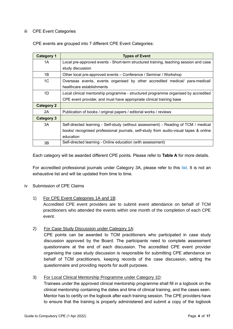#### <span id="page-3-0"></span>iii CPE Event Categories

CPE events are grouped into 7 different CPE Event Categories:

| <b>Category 1</b> | <b>Types of Event</b>                                                                 |  |  |  |  |
|-------------------|---------------------------------------------------------------------------------------|--|--|--|--|
| 1A                | Local pre-approved events - Short-term structured training, teaching session and case |  |  |  |  |
|                   | study discussion                                                                      |  |  |  |  |
| 1B                | Other local pre-approved events – Conference / Seminar / Workshop                     |  |  |  |  |
| 1C                | Overseas events, events organised by other accredited medical/ para-medical/          |  |  |  |  |
|                   | healthcare establishments                                                             |  |  |  |  |
| 1D                | Local clinical mentorship programme - structured programme organised by accredited    |  |  |  |  |
|                   | CPE event provider, and must have appropriate clinical training base                  |  |  |  |  |
| <b>Category 2</b> |                                                                                       |  |  |  |  |
| 2A                | Publication of books / original papers / editorial works / reviews                    |  |  |  |  |
| <b>Category 3</b> |                                                                                       |  |  |  |  |
| 3A                | Self-directed learning - Self-study (without assessment) - Reading of TCM / medical   |  |  |  |  |
|                   | books/ recognised professional journals, self-study from audio-visual tapes & online  |  |  |  |  |
|                   | education                                                                             |  |  |  |  |
| 3B                | Self-directed learning - Online education (with assessment)                           |  |  |  |  |

Each category will be awarded different CPE points. Please refer to **Table A** for more details.

For accredited professional journals under Category 3A, please refer to this [list.](https://www.healthprofessionals.gov.sg/docs/librariesprovider12/cpe/list-of-accredited-professional-journals.pdf?sfvrsn=ee6abc63_0) It is not an exhaustive list and will be updated from time to time.

#### <span id="page-3-1"></span>iv Submission of CPE Claims

#### 1) For CPE Event Categories 1A and 1B:

Accredited CPE event providers are to submit event attendance on behalf of TCM practitioners who attended the events within one month of the completion of each CPE event.

#### 2) For Case Study Discussion under Category 1A:

CPE points can be awarded to TCM practitioners who participated in case study discussion approved by the Board. The participants need to complete assessment questionnaire at the end of each discussion. The accredited CPE event provider organising the case study discussion is responsible for submitting CPE attendance on behalf of TCM practitioners, keeping records of the case discussion, setting the questionnaire and providing reports for audit purposes.

#### 3) For Local Clinical Mentorship Programme under Category 1D:

Trainees under the approved clinical mentorship programme shall fill in a logbook on the clinical mentorship containing the dates and time of clinical training, and the cases seen. Mentor has to certify on the logbook after each training session. The CPE providers have to ensure that the training is properly administered and submit a copy of the logbook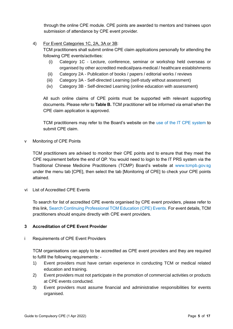through the online CPE module. CPE points are awarded to mentors and trainees upon submission of attendance by CPE event provider.

4) For Event Categories 1C, 2A, 3A or 3B:

TCM practitioners shall submit online CPE claim applications personally for attending the following CPE events/activities:

- (i) Category 1C Lecture, conference, seminar or workshop held overseas or organised by other accredited medical/para-medical / healthcare establishments
- (ii) Category 2A Publication of books / papers / editorial works / reviews
- (iii) Category 3A Self-directed Learning (self-study without assessment)
- (iv) Category 3B Self-directed Learning (online education with assessment)

All such online claims of CPE points must be supported with relevant supporting documents. Please refer to **Table B.** TCM practitioner will be informed via email when the CPE claim application is approved.

TCM practitioners may refer to the Board's website on the [use of the IT CPE system](https://www.healthprofessionals.gov.sg/docs/librariesprovider12/cpe/cpe-user-guide-(tcmp).pdf?sfvrsn=8874122c_0) to submit CPE claim.

v Monitoring of CPE Points

TCM practitioners are advised to monitor their CPE points and to ensure that they meet the CPE requirement before the end of QP. You would need to login to the IT PRS system via the Traditional Chinese Medicine Practitioners (TCMP) Board's website at [www.tcmpb.gov.sg](http://www.tcmpb.gov.sg/) under the menu tab [CPE], then select the tab [Monitoring of CPE] to check your CPE points attained.

<span id="page-4-0"></span>vi List of Accredited CPE Events

To search for list of accredited CPE events organised by CPE event providers, please refer to this link, [Search Continuing Professional TCM Education \(CPE\) Events.](https://prs.moh.gov.sg/prs/internet/cpe/event/eventSearch.action?hpe=tcm) For event details, TCM practitioners should enquire directly with CPE event providers.

#### <span id="page-4-1"></span>**3 Accreditation of CPE Event Provider**

#### <span id="page-4-2"></span>i Requirements of CPE Event Providers

TCM organisations can apply to be accredited as CPE event providers and they are required to fulfill the following requirements: -

- 1) Event providers must have certain experience in conducting TCM or medical related education and training.
- 2) Event providers must not participate in the promotion of commercial activities or products at CPE events conducted.
- 3) Event providers must assume financial and administrative responsibilities for events organised.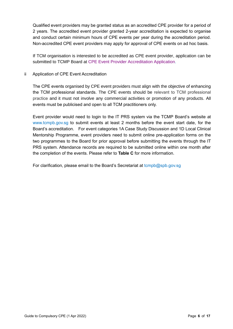Qualified event providers may be granted status as an accredited CPE provider for a period of 2 years. The accredited event provider granted 2-year accreditation is expected to organise and conduct certain minimum hours of CPE events per year during the accreditation period. Non-accredited CPE event providers may apply for approval of CPE events on ad hoc basis.

If TCM organisation is interested to be accredited as CPE event provider, application can be submitted to TCMP Board at [CPE Event Provider Accreditation Application.](https://www.healthprofessionals.gov.sg/docs/librariesprovider12/default-document-library/cpe-event-provider-accredition-application.pdf?sfvrsn=ab08a84f_0)

<span id="page-5-0"></span>ii Application of CPE Event Accreditation

The CPE events organised by CPE event providers must align with the objective of enhancing the TCM professional standards. The CPE events should be relevant to TCM professional practice and it must not involve any commercial activities or promotion of any products. All events must be publicised and open to all TCM practitioners only.

Event provider would need to login to the IT PRS system via the TCMP Board's website at [www.tcmpb.gov.sg](http://www.tcmpb.gov.sg/) to submit events at least 2 months before the event start date, for the Board's accreditation. For event categories 1A Case Study Discussion and 1D Local Clinical Mentorship Programme, event providers need to submit online pre-application forms on the two programmes to the Board for prior approval before submitting the events through the IT PRS system. Attendance records are required to be submitted online within one month after the completion of the events. Please refer to **Table C** for more information.

For clarification, please email to the Board's Secretariat at tcmpb@spb.gov.sq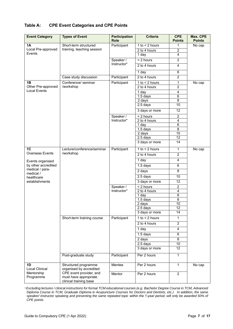#### **Table A: CPE Event Categories and CPE Points**

| <b>Event Category</b>                  | <b>Types of Event</b>                                                      | <b>Participation</b><br><b>Role</b> | <b>Criteria</b>       | <b>CPE</b><br><b>Points</b> | Max. CPE<br><b>Points</b> |
|----------------------------------------|----------------------------------------------------------------------------|-------------------------------------|-----------------------|-----------------------------|---------------------------|
| 1A                                     | Short-term structured                                                      | Participant                         | $1$ to $\leq$ 2 hours | 1                           | No cap                    |
| Local Pre-approved                     | training, teaching session                                                 |                                     | 2 to 4 hours          | $\overline{c}$              |                           |
| Events                                 |                                                                            |                                     | 1 day                 | $\overline{4}$              |                           |
|                                        |                                                                            | Speaker /                           | $< 2$ hours           | $\overline{2}$              |                           |
|                                        |                                                                            | Instructor*                         | 2 to 4 hours          | $\overline{4}$              |                           |
|                                        |                                                                            |                                     | 1 day                 | 6                           |                           |
|                                        | Case study discussion                                                      | Participant                         | 2 to 4 hours          | $\overline{2}$              |                           |
| 1B                                     | Conference/ seminar                                                        | Participant                         | $1$ to $\leq$ 2 hours | 1                           | No cap                    |
| Other Pre-approved                     | /workshop                                                                  |                                     | 2 to 4 hours          | $\overline{2}$              |                           |
| <b>Local Events</b>                    |                                                                            |                                     | 1 day                 | $\overline{\mathbf{4}}$     |                           |
|                                        |                                                                            |                                     | 1.5 days              | 6                           |                           |
|                                        |                                                                            |                                     | 2 days                | 8                           |                           |
|                                        |                                                                            |                                     | 2.5 days              | $\overline{10}$             |                           |
|                                        |                                                                            |                                     | 3 days or more        | 12                          |                           |
|                                        |                                                                            | Speaker /                           | < 2 hours             | $\overline{c}$              |                           |
|                                        |                                                                            | Instructor*                         | 2 to 4 hours          | $\overline{\mathbf{4}}$     |                           |
|                                        |                                                                            |                                     | 1 day                 | $\overline{6}$              |                           |
|                                        |                                                                            |                                     | $1.5$ days<br>2 days  | $\overline{8}$<br>10        |                           |
|                                        |                                                                            |                                     | 2.5 days              | 12                          |                           |
|                                        |                                                                            |                                     | 3 days or more        | 14                          |                           |
| 1C                                     | Lecture/conference/seminar                                                 | Participant                         | 1 to $<$ 2 hours      | $\mathbf{1}$                |                           |
| Overseas Events                        | /workshop                                                                  |                                     |                       |                             | No cap                    |
|                                        |                                                                            |                                     | 2 to 4 hours          | $\overline{2}$              |                           |
| Events organised                       |                                                                            |                                     | 1 day                 | $\overline{4}$              |                           |
| by other accredited<br>medical / para- |                                                                            |                                     | $1.5$ days            | 6                           |                           |
| medical /                              |                                                                            |                                     | 2 days                | 8                           |                           |
| healthcare                             |                                                                            |                                     | 2.5 days              | 10                          |                           |
| establishments                         |                                                                            |                                     | 3 days or more        | 12                          |                           |
|                                        |                                                                            | Speaker /                           | < 2 hours             | $\overline{2}$              |                           |
|                                        |                                                                            | Instructor*                         | 2 to 4 hours          | $\overline{\mathbf{4}}$     |                           |
|                                        |                                                                            |                                     | 1 day                 | 6                           |                           |
|                                        |                                                                            |                                     | 1.5 days<br>2 days    | $\overline{8}$<br>10        |                           |
|                                        |                                                                            |                                     | $2.5$ days            | 12                          |                           |
|                                        |                                                                            |                                     | 3 days or more        | 14                          |                           |
|                                        | Short-term training course                                                 | Participant                         | $1$ to $\leq$ 2 hours | 1                           |                           |
|                                        |                                                                            |                                     | 2 to 4 hours          | $\overline{2}$              |                           |
|                                        |                                                                            |                                     | 1 day                 | 4                           |                           |
|                                        |                                                                            |                                     | 1.5 days              | 6                           |                           |
|                                        |                                                                            |                                     | 2 days                | 8                           |                           |
|                                        |                                                                            |                                     | 2.5 days              | 10                          |                           |
|                                        |                                                                            |                                     | 3 days or more        | $\overline{12}$             |                           |
|                                        | Post-graduate study                                                        | Participant                         | Per 2 hours           | $\mathbf{1}$                |                           |
| 1D<br><b>Local Clinical</b>            | Structured programme<br>organised by accredited                            | Mentee                              | Per 2 hours           | $\mathbf{1}$                | No cap                    |
| Mentorship<br>Programme                | CPE event provider, and<br>must have appropriate<br>clinical training base | Mentor                              | Per 2 hours           | $\overline{2}$              |                           |

*\* Excluding lectures / clinical instructions for formal TCM educational courses (e.g. Bachelor Degree Course in TCM, Advanced Diploma Course in TCM, Graduate Diploma in Acupuncture Courses for Doctors and Dentists, etc.) In addition, the same speaker/ instructor speaking and presenting the same repeated topic within the 1-year period, will only be awarded 50% of CPE points.*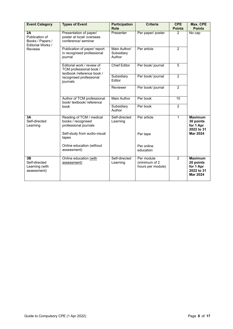| <b>Event Category</b>                                         | <b>Types of Event</b>                                                               | <b>Participation</b><br><b>Role</b>  | <b>Criteria</b>                                  | <b>CPE</b><br><b>Points</b> | Max. CPE<br><b>Points</b>                                                 |
|---------------------------------------------------------------|-------------------------------------------------------------------------------------|--------------------------------------|--------------------------------------------------|-----------------------------|---------------------------------------------------------------------------|
| 2A<br>Publication of<br>Books / Papers /<br>Editorial Works / | Presentation of paper/<br>poster at local/ overseas<br>conference/ seminar          | Presenter                            | Per paper/ poster                                | $\mathcal{P}$               | No cap                                                                    |
| <b>Reviews</b>                                                | Publication of paper/ report<br>in recognised professional<br>journal               | Main Author/<br>Subsidiary<br>Author | Per article                                      | $\mathfrak{p}$              |                                                                           |
|                                                               | Editorial work / review of<br>TCM professional book /<br>textbook /reference book / | <b>Chief Editor</b>                  | Per book/ journal                                | 5                           |                                                                           |
|                                                               | recognised professional<br>journals                                                 | Subsidiary<br>Editor                 | Per book/ journal                                | $\overline{2}$              |                                                                           |
|                                                               |                                                                                     | Reviewer                             | Per book/ journal                                | $\overline{2}$              |                                                                           |
|                                                               | Author of TCM professional<br>book/textbook/reference<br>book                       | <b>Main Author</b>                   | Per book                                         | 10                          |                                                                           |
|                                                               |                                                                                     | Subsidiary<br>Author                 | Per book                                         | $\overline{2}$              |                                                                           |
| 3A<br>Self-directed<br>Learning                               | Reading of TCM / medical<br>books / recognised<br>professional journals             | Self-directed<br>Learning            | Per article                                      | $\mathbf{1}$                | <b>Maximum</b><br>30 points<br>for 1 Apr<br>2022 to 31                    |
|                                                               | Self-study from audio-visual<br>tapes<br>Online education (without<br>assessment)   |                                      | Per tape                                         |                             | <b>Mar 2024</b>                                                           |
|                                                               |                                                                                     |                                      | Per online<br>education                          |                             |                                                                           |
| 3B<br>Self-directed<br>Learning (with<br>assessment)          | Online education (with<br>assessment)                                               | Self-directed<br>Learning            | Per module<br>(minimum of 2<br>hours per module) | $\overline{2}$              | <b>Maximum</b><br>20 points<br>for 1 Apr<br>2022 to 31<br><b>Mar 2024</b> |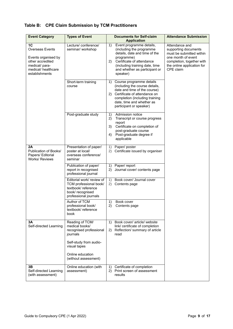### **Table B: CPE Claim Submission by TCM Practitioners**

| <b>Event Category</b>                                                                                                             | <b>Types of Event</b>                                                                                                  | <b>Documents for Self-claim</b><br><b>Application</b>                                                                                                                                                                             | <b>Attendance Submission</b>                                                                                                                                     |
|-----------------------------------------------------------------------------------------------------------------------------------|------------------------------------------------------------------------------------------------------------------------|-----------------------------------------------------------------------------------------------------------------------------------------------------------------------------------------------------------------------------------|------------------------------------------------------------------------------------------------------------------------------------------------------------------|
| 1C<br><b>Overseas Events</b><br>Events organised by<br>other accredited<br>medical/ para-<br>medical/healthcare<br>establishments | Lecture/ conference/<br>seminar/ workshop                                                                              | Event programme details,<br>1)<br>(including the programme<br>details, date and time of the<br>programme)<br>Certificate of attendance<br>2)<br>(including training date, time<br>and whether as participant or<br>speaker)       | Attendance and<br>supporting documents<br>must be submitted within<br>one month of event<br>completion, together with<br>the online application for<br>CPE claim |
|                                                                                                                                   | Short-term training<br>course                                                                                          | Course programme details<br>1)<br>(including the course details,<br>date and time of the course)<br>Certificate of attendance on<br>(2)<br>completion (including training<br>date, time and whether as<br>participant or speaker) |                                                                                                                                                                  |
|                                                                                                                                   | Post-graduate study                                                                                                    | Admission notice<br>1)<br>Transcript or course progress<br>2)<br>report<br>Certificate on completion of<br>3)<br>post-graduate course<br>4)<br>Post-graduate degree if<br>applicable                                              |                                                                                                                                                                  |
| 2A<br>Publication of Books/<br>Papers/ Editorial<br><b>Works/ Reviews</b>                                                         | Presentation of paper/<br>poster at local/<br>overseas conference/<br>seminar                                          | Paper/poster<br>1)<br>Certificate issued by organiser<br>2)                                                                                                                                                                       |                                                                                                                                                                  |
|                                                                                                                                   | Publication of paper/<br>report in recognised<br>professional journal                                                  | Paper/ report<br>1)<br>Journal cover/ contents page<br>2)                                                                                                                                                                         |                                                                                                                                                                  |
|                                                                                                                                   | Editorial work/ review of<br>TCM professional book/<br>textbook/reference<br>book/ recognised<br>professional journals | Book cover/ Journal cover<br>1)<br>2)<br>Contents page                                                                                                                                                                            |                                                                                                                                                                  |
|                                                                                                                                   | Author of TCM<br>professional book/<br>textbook/reference<br>book                                                      | Book cover<br>1)<br>2)<br>Contents page                                                                                                                                                                                           |                                                                                                                                                                  |
| 3Α<br>Self-directed Learning                                                                                                      | Reading of TCM/<br>medical books/<br>recognised professional<br>journals                                               | Book cover/ article/ website<br>1)<br>link/ certificate of completion<br>Reflection/ summary of article<br>2)<br>read                                                                                                             |                                                                                                                                                                  |
|                                                                                                                                   | Self-study from audio-<br>visual tapes                                                                                 |                                                                                                                                                                                                                                   |                                                                                                                                                                  |
|                                                                                                                                   | Online education<br>(without assessment)                                                                               |                                                                                                                                                                                                                                   |                                                                                                                                                                  |
| 3Β<br>Self-directed Learning<br>(with assessment)                                                                                 | Online education (with<br>assessment)                                                                                  | Certificate of completion<br>1)<br>Print screen of assessment<br>2)<br>results                                                                                                                                                    |                                                                                                                                                                  |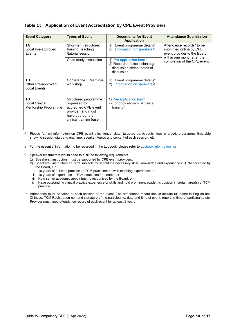#### **Table C: Application of Event Accreditation by CPE Event Providers**

| <b>Event Category</b>                           | <b>Types of Event</b>                                                                                                            | <b>Documents for Event</b><br><b>Application</b>                                                       | <b>Attendance Submission</b>                                                                                      |
|-------------------------------------------------|----------------------------------------------------------------------------------------------------------------------------------|--------------------------------------------------------------------------------------------------------|-------------------------------------------------------------------------------------------------------------------|
| 1Α<br>Local Pre-approved<br>Events              | Short-term structured<br>training, teaching<br>/tutorial session                                                                 | Event programme details^<br>1)<br>Information on speakers <sup>@</sup><br>2)                           | Attendance records* to be<br>submitted online by CPE<br>event provider to the Board<br>within one month after the |
|                                                 | Case study discussion                                                                                                            | 1) Pre-application form*<br>2) Records of discussion e.g.<br>discussion slides/ notes of<br>discussion | completion of the CPE event                                                                                       |
| 1B<br>Other Pre-approved<br><b>Local Events</b> | Conference<br>/seminar/<br>workshop                                                                                              | Event programme details^<br>1)<br>Information on speakers <sup>@</sup><br>$\mathbf{2}$                 |                                                                                                                   |
| 1D<br>Local Clinical<br>Mentorship Programme    | Structured programme<br>organised by<br>accredited CPE event<br>provider, and must<br>have appropriate<br>clinical training base | 1) Pre-application form*<br>2) Logbook records of clinical<br>training $#$                             |                                                                                                                   |

- ^ Please furnish information on CPE event title, venue, date, targeted participants, fees charged, programme timetable showing session start and end time, speaker, topics and content of each session, etc
- # For the essential information to be recorded in the Logbook, please refer t[o Logbook information list](https://form.gov.sg/5dde007e39fa3d0012caa9fb)
- Speakers/instructors would need to fulfil the following requirements:
	- 1) Speakers / instructors must be supported by CPE event providers.
	- 2) Speakers / instructors on TCM subjects must hold the necessary skills, knowledge and experience in TCM accepted by the Board, e.g.
		- i. 10 years of full-time practice as TCM practitioners, with teaching experience; or
		- ii. 10 years of experience in TCM education / research; or
		- iii. Hold senior academic appointments recognised by the Board; or
		- iv. Have outstanding clinical practice experience or skills and hold prominent academic position in certain area(s) of TCM practice.
- Attendance must be taken at each session of the event. The attendance record should include full name in English and Chinese, TCM Registration no., and signature of the participants, date and time of event, reporting time of participants etc. Provider must keep attendance record of each event for at least 2 years.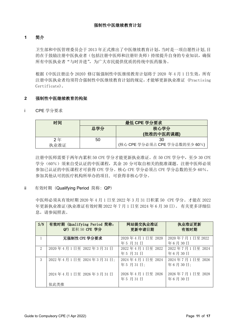#### **1** 简介

卫生部和中医管理委员会于 2013 年正式推出了中医继续教育计划,当时是一项自愿性计划,目 的在于鼓励注册中医执业者(包括注册中医师和注册针灸师)持续提升自身的专业知识,确保 所有中医执业者"与时并进",为广大市民提供优质的传统中医药服务。

根据《中医注册法令 2020》修订版强制性中医继续教育计划将于 2020 年 4 月 1 日生效, 所有 注册中医执业者均须符合强制性中医继续教育计划的规定,才能够更新执业准证 (Practising Certificate)。

#### **2** 强制性中医继续教育的构架

i CPE 学分要求

| 时间   | 最低 CPE 学分要求 |                                |  |
|------|-------------|--------------------------------|--|
|      | 总学分         | 核心学分                           |  |
|      |             | (批准的中医药课题)                     |  |
| 2年   | 50          | 30                             |  |
| 执业准证 |             | (核心 CPE 学分必须占 CPE 学分总数的至少 60%) |  |

注册中医师需要于两年内累积 50 CPE 学分才能更新执业准证。在 50 CPE 学分中, 至少 30 CPE 学分(60%)须来自受认证的中医课程,其余 20 分可取自相关的批准课题。注册中医师必须 参加已认证的中医课程才可获得 CPE 学分。核心 CPE 学分必须占 CPE 学分总数的至少 60%。 参加其他认可的医疗机构所举办的项目, 可获得非核心学分。

#### ii 有效时期 (Qualifying Period 简称: QP)

中医师必须从有效时期 2020 年 4 月 1 日至 2022 年 3 月 31 日积累 50 CPE 学分。才能在 2022 年更新执业准证(执业准证有效时期 2022 年 7 月 1 日至 2024 年 6 月 30 日)。 有关更多详细信 息,请参阅照表。

| S/N                         | 有效时期 (Qualifying Period 简称:<br>QP) 累积 50 CPE 学分 | 网站提交执业准证<br>更新申请日期         | 执业准证更新<br>有效时期             |
|-----------------------------|-------------------------------------------------|----------------------------|----------------------------|
|                             | 无强制性 CPE 学分要求                                   | 2020年4月1日至 2020<br>年5月31日  | 2020年7月1日至2022<br>年6月30日   |
| $\mathcal{D}_{\mathcal{L}}$ | 2020年4月1日至 2022年3月31日                           | 2022年4月1日至 2022<br>年5月31日  | 2022年7月1日至 2024<br>年6月30日  |
| 3                           | 2022年4月1日至 2024年3月31日;                          | 2024年4月1日至 2024<br>年5月31日; | 2024年7月1日至 2026<br>年6月30日; |
|                             | 2024年4月1日至 2026年3月31日                           | 2026年4月1日至 2026<br>年5月31日  | 2026年7月1日至 2028<br>年6月30日  |
|                             | 依此类推                                            |                            |                            |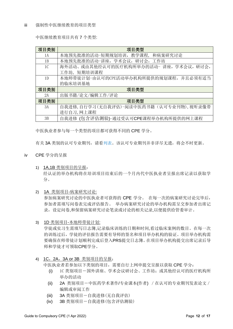中医继续教育项目共有 7 个类型:

| 项目类别           | 项目类型                                       |
|----------------|--------------------------------------------|
| 1A             | 本地预先批准的活动-短期规划培训,教学课程,<br>和病案研究讨论          |
| 1B             | 本地预先批准的活动-讲座, 学术会议, 研讨会, 工作坊               |
| 1 <sup>C</sup> | 海外活动、或由其他经认可的医疗机构所举办的活动- 讲座, 学术会议,<br>研讨会, |
|                | 工作坊, 短期培训课程                                |
| 1 <sub>D</sub> | 本地师带徒计划-由认可的CPE活动举办机构所提供的规划课程,并且必须有适当      |
|                | 的临床培训基地                                    |
| 项目类别           | 项目类型                                       |
| 2A             | 出版书籍/论文/编辑工作/评论                            |
| 项目类别           | 项目类型                                       |
| 3A             | 自我进修,自行学习(无自我评估)-阅读中医药书籍(认可专业刊物),视听录像带     |
|                | 进行自习, 网上课程                                 |
| 3B             | 自我进修 (包含评估测验)-通过受认可CPE课程举办机构所提供的网上课程       |

中医执业者参与每一个类型的项目都可获得不同的 CPE 学分。

有关 3A 类别的认可专业期刊,请[看列表。](https://www.healthprofessionals.gov.sg/docs/librariesprovider12/cpe/list-of-accredited-professional-journals.pdf?sfvrsn=ee6abc63_0)该认可专业期刊并非详尽无遗,将会不时更新。

- iv CPE 学分的呈报
	- 1) 1A,1B 类别项目的呈报: 经认证的举办机构将在培训项目结束后的一个月内代中医执业者呈报出席记录以获取学 分。
	- 2) 1A 类别项目-病案研究讨论:

参加病案研究讨论的中医执业者可获得的 CPE 学分。 在每一次的病案研究讨论完毕后, 参加者需填写问卷表完成评估报告。 举办病案研究讨论的举办机构需呈交参加者出席记 录,设定问卷,和保留病案研究讨论笔录或讨论的相关记录,以便提供给管委审计。

3) 1D 类别项目-本地师带徒计划:

学徒或实习生需填写日志簿,记录临床训练的日期和时间,看过临床案例的数目。在每一次 的训练过后,学徒的评估报告需要有导师的签名和项目举办机构的验证。项目举办机构需 要确保在师带徒计划顺利完成后登入PRS提交日志簿。在项目举办机构提交出席记录后导 师和学徒才可领取CPE学分。

4) 1C,2A,3A or 3B 类别项目的呈报:

中医执业者若参加以下类别的项目,需要自行上网申提交呈报以获取 CPE 学分:

- (i) 1C 类别项目-国外讲座、学术会议研讨会、工作坊;或其他经认可的医疗机构所 举办的活动
- (ii) 2A 类别项目-中医药学术著作/专业课本(作者) /在认可的专业期刊发表论文/ 编辑或审阅工作
- (iii) 3A 类别项目-自我进修(无自我评估)
- (iv) 3B 类别项目-自我进修(包含评估测验)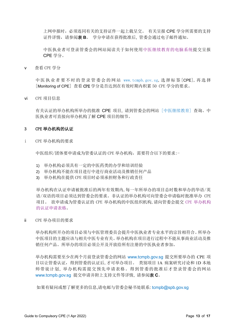上网申报时,必须连同有关的支持证件一起上载呈交。 有关呈报 CPE 学分所需要的支持 证件详情,请参阅表 **B**。 学分申请在获得批准后, 管委会通过电子邮件通知。

中医执业者可登录管委会的网站阅读关于如何使[用中医继续教育的电脑系统提](https://www.healthprofessionals.gov.sg/docs/librariesprovider12/cpe/cpe-user-guide-(tcmp).pdf?sfvrsn=8874122c_0)交呈报 CPE 学分。

v 查看 CPE 学分

中 医 执 业 者 要 不 时 的 登 录 管 委 会 的 网 站 [www.tcmpb.gov.sg,](http://www.tcmpb.gov.sg/) 选 择 标 签 [CPE], 再 选 择 [Monitoring of CPE] 查看 CPE 学分是否达到在有效时期内积累 50 CPE 学分的要求。

vi CPE 项目信息

有关认证的举办机构所举办的批准 CPE 项目, 请到管委会的网站 [[中医继续教育](https://prs.moh.gov.sg/prs/internet/cpe/event/eventSearch.action?hpe=tcm)] 查询。中 医执业者可直接向举办机构了解 CPE 项目的细节。

#### 3 CPE 举办机构的认证

i CPE 举办机构的要求

中医组织/团体要申请成为管委认证的 CPE 举办机构,需要符合以下的要求:-

- 1) 举办机构必须具有一定的中医药类的办学和培训经验
- 2) 举办机构不能在项目进行中进行商业活动及推销任何产品
- 3) 举办机构在提供 CPE 项目时必须承担财务和行政责任

举办机构在认证申请被批准后的两年有效期内,每一年所举办的项目总时数和举办的华语/英 语/双语的项目必须达到管委会的要求。非认证的举办机构可向管委会申请临时批准举办 CPE 项目。 欲申请成为管委认证的 CPE 举办机构的中医组织机构,请向管委会提交 CPE [举办机构](https://www.healthprofessionals.gov.sg/docs/librariesprovider12/default-document-library/cpe-event-provider-accredition-application.pdf?sfvrsn=ab08a84f_0) [的认证申请表格。](https://www.healthprofessionals.gov.sg/docs/librariesprovider12/default-document-library/cpe-event-provider-accredition-application.pdf?sfvrsn=ab08a84f_0)

ii CPE 举办项目的要求

举办机构所开办的项目必须与中医管理委员会提升中医执业者专业水平的宗旨相符合。所举办 中医项目的主题应该与相关中医专业有关。举办机构在项目进行过程中不能从事商业活动及推 销任何产品。所举办的项目必须公开及开放给所有注册的中医执业者参加。

举办机构需要至少在两个月前登录管委会的网站 [www.tcmpb.gov.sg](http://www.tcmpb.gov.sg/) 提交所要举办的 CPE 项 目以让管委认证,得到管委的认证后,才可举办项目。 类别项目 1A 病案研究讨论和 1D 本地 师带徒计划, 举办机构需提交预先申请表格。得到管委的批准后才登录管委会的网站 [www.tcmpb.gov.sg](http://www.tcmpb.gov.sg/) 提交申请并附上支持文件等详情, 请参阅表 **C**。

如果有疑问或想了解更多的信息,请电邮与管委会秘书处联系: [tcmpb@spb.gov.sg](mailto:tcmpb@spb.gov.sg)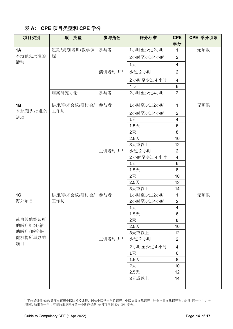# 表 **A: CPE** 项目类型和 **CPE** 学分

| 项目类别           | 项目类型         | 参与角色    | 评分标准            | <b>CPE</b><br>学分        | CPE 学分顶限 |
|----------------|--------------|---------|-----------------|-------------------------|----------|
| 1A             | 短期/规划培训/教学课  | 参与者     | 1小时至少过2小时       | 1.                      | 无顶限      |
| 本地预先批准的        | 程            |         | 2小时至少过4小时       | $\overline{2}$          |          |
| 活动             |              |         | 1天              | $\overline{4}$          |          |
|                |              | 演讲者/讲师1 | 少过2小时           | $\overline{2}$          |          |
|                |              |         | 2小时至少过4小时       | $\overline{4}$          |          |
|                |              |         | 1天              | $6\phantom{1}$          |          |
|                | 病案研究讨论       | 参与者     | 2小时至少过4小时       | $\overline{2}$          |          |
| 1B             | 讲座/学术会议/研讨会/ | 参与者     | 1小时至少过2小时       | $\mathbf{1}$            | 无顶限      |
| 本地预先批准的        | 工作坊          |         | 2小时至少过4小时       | $\overline{2}$          |          |
| 活动             |              |         | 1天              | $\overline{4}$          |          |
|                |              |         | $1.5+$          | 6                       |          |
|                |              |         | 2天              | 8                       |          |
|                |              |         | $2.5+$          | 10                      |          |
|                |              |         | 3天或以上           | 12                      |          |
|                |              | 主讲者/讲师1 | 少过2小时           | $\overline{2}$          |          |
|                |              |         | 2小时至少过4小时       | $\overline{4}$          |          |
|                |              |         | 1天              | 6                       |          |
|                |              |         | $1.5+$          | 8                       |          |
|                |              |         | 2天              | 10                      |          |
|                |              |         | $2.5+$<br>3天或以上 | 12                      |          |
| 1 <sup>C</sup> | 讲座/学术会议/研讨会/ | 参与者     | 1小时至少过2小时       | 14<br>1                 | 无顶限      |
| 海外项目           | 工作坊          |         | 2小时至少过4小时       | $\overline{2}$          |          |
|                |              |         | 1天              | $\overline{\mathbf{4}}$ |          |
|                |              |         | $1.5+$          | 6                       |          |
| 或由其他经认可        |              |         | 2天              | 8                       |          |
| 的医疗组织/辅        |              |         | $2.5+$          | 10                      |          |
| 助医疗/医疗保        |              |         | 3天或以上           | 12                      |          |
| 健机构所举办的        |              | 主讲者/讲师1 | 少过2小时           | $\overline{2}$          |          |
| 项目             |              |         | 2小时至少过4小时       | $\overline{4}$          |          |
|                |              |         | 1天              | $6\phantom{a}$          |          |
|                |              |         | 1.5天            | 8                       |          |
|                |              |         | 2天              | 10                      |          |
|                |              |         | $2.5+$          | 12                      |          |
|                |              |         | 3天或以上           | 14                      |          |
|                |              |         |                 |                         |          |

<sup>1</sup> 不包括讲师/临床导师在正规中医院授校课程,例如中医学士学位课程、中医高级文凭课程、针灸毕业文凭课程等。此外,同一个主讲者 /讲师,如果在一年内不断的重复同样的一个讲座话题,他只可得到 50% CPE 学分。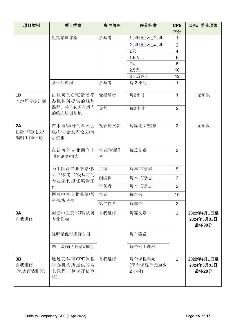| 项目类别                      | 项目类型                                        | 参与角色        | 评分标准                        | <b>CPE</b><br>学分 | CPE 学分顶限                          |
|---------------------------|---------------------------------------------|-------------|-----------------------------|------------------|-----------------------------------|
|                           | 短期培训课程                                      | 参与者         | 1小时至少过2小时                   | 1                |                                   |
|                           |                                             |             | 2小时至少过4小时                   | $\overline{2}$   |                                   |
|                           |                                             |             | 1天                          | $\overline{4}$   |                                   |
|                           |                                             |             | 1.5天                        | 6                |                                   |
|                           |                                             |             | 2天                          | 8                |                                   |
|                           |                                             |             | $2.5+$                      | 10               |                                   |
|                           |                                             |             | 3天或以上                       | 12               |                                   |
|                           | 学士后课程                                       | 参与者         | 每2小时                        | 1                |                                   |
| 1 <sub>D</sub><br>本地师带徒计划 | 由认可的CPE活动举<br>办机构所提供的规划                     | 受指导者        | 每2小时                        | $\mathbf{1}$     | 无顶限                               |
|                           | 课程,并且必须有适当<br>的临床培训基地                       | 导师          | 每2小时                        | $\overline{2}$   |                                   |
| 2A<br>出版书籍/论文/<br>编辑工作/评论 | 在本地/海外的学术会<br>议/研讨会发表论文/展<br>示壁报            | 发表论文者       | 每篇论文/壁报                     | 2                | 无顶限                               |
|                           | 在认可的专业期刊上<br>刊登论文/报告                        | 作者/附属作<br>者 | 每篇文章                        | 2                |                                   |
|                           | 为中医药专业书籍/教<br>科书/参考书/受认可的<br>专业期刊担任编辑工<br>作 | 主编          | 每本书/杂志                      | 5                |                                   |
|                           |                                             | 副编辑         | 每本书/杂志                      | $\overline{2}$   |                                   |
|                           |                                             | 审阅者         | 每本书/杂志                      | $\overline{2}$   |                                   |
|                           | 撰写中医专业书籍/教<br>科书/参考书                        | 作者          | 每本书                         | 10               |                                   |
|                           |                                             | 第二作者        | 每本书                         | $\overline{2}$   |                                   |
| 3A<br>自我进修                | 阅读中医药书籍/认可<br>专业刊物                          | 自我进修        | 每篇文章                        | 1                | 2022年4月1日至<br>2024年3月31日<br>最多30分 |
|                           | 视听录像带进行自习                                   |             | 每个磁带                        |                  |                                   |
|                           | 网上课程(无评估测验)                                 |             | 每个网上课程                      |                  |                                   |
| 3B<br>自我进修<br>(包含评估测验)    | 通过受认可CPE课程<br>举办机构所提供的网<br>上课程 (包含评估测<br>验) | 自我进修        | 每个课程单元<br>(每个课程单元至少<br>2小时) | 2                | 2022年4月1日至<br>2024年3月31日<br>最多20分 |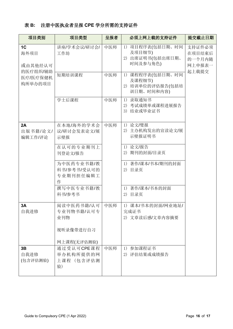# 表 **B:** 注册中医执业者呈报 **CPE** 学分所需的支持证件

| 项目类别                                                                 | 项目类型                                        | 呈报者 | 必须上网上载的支持证件                                                     | 提交截止日期                                        |
|----------------------------------------------------------------------|---------------------------------------------|-----|-----------------------------------------------------------------|-----------------------------------------------|
| 1 <sub>C</sub><br>海外项目<br>或由其他经认可<br>的医疗组织/辅助<br>医疗/医疗保健机<br>构所举办的项目 | 讲座/学术会议/研讨会/<br>工作坊                         | 中医师 | 项目程序表(包括日期、时间<br>1)<br>及项目细节)<br>2) 出席证明书(包括出席日期、<br>时间及参与角色)   | 支持证件必须<br>在项目结束后<br>的一个月内随<br>网上申报表一<br>起上载提交 |
|                                                                      | 短期培训课程                                      | 中医师 | 课程程序表(包括日期、时间<br>1)<br>及课程细节)<br>2) 培训单位的评估报告(包括培<br>训日期、时间和内容) |                                               |
|                                                                      | 学士后课程                                       | 中医师 | 录取通知书<br>1)<br>2) 考试成绩单或课程进展报告<br>3) 结业或毕业证书                    |                                               |
| 2A<br>出版书籍/论文/<br>编辑工作/评论                                            | 在本地/海外的学术会<br>议/研讨会发表论文/展<br>示壁报            | 中医师 | 论文/璧报<br>1)<br>主办机构发出的宣读论文/展<br>2)<br>示壁报证明书                    |                                               |
|                                                                      | 在认可的专业期刊上<br>刊登论文/报告<br>为中医药专业书籍/教          |     | 论文/报告<br>1)<br>2)<br>期刊的封面/目录页<br>著作/课本/书本/期刊的封面<br>1)          |                                               |
|                                                                      | 科书/参考书/受认可的<br>专业期刊担任编辑工<br>作               |     | 目录页<br>2)                                                       |                                               |
|                                                                      | 撰写中医专业书籍/教<br>科书/参考书                        |     | 著作/课本/书本的封面<br>1)<br>2)<br>目录页                                  |                                               |
| 3A<br>自我进修                                                           | 阅读中医药书籍/认可<br>专业刊物书籍/认可专<br>业刊物             | 中医师 | 1) 课本/书本的封面/网业地址/<br>完成证书<br>2) 文章读后感/文章内容摘要                    |                                               |
|                                                                      | 视听录像带进行自习<br>网上课程(无评估测验)                    |     |                                                                 |                                               |
| 3B<br>自我进修<br>(包含评估测验)                                               | 通过受认可CPE课程<br>举办机构所提供的网<br>上课程 (包含评估测<br>验) | 中医师 | 参加课程证书<br>1)<br>2) 评估结果或成绩报告                                    |                                               |